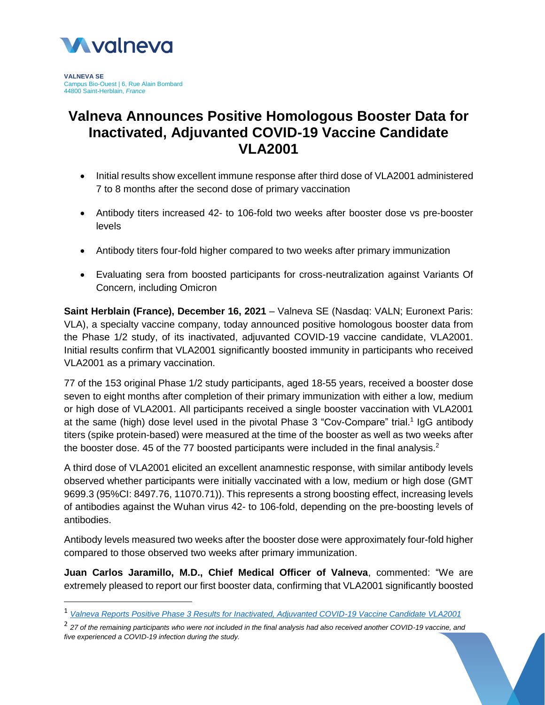

**VALNEVA SE** Campus Bio-Ouest | 6, Rue Alain Bombard 44800 Saint-Herblain, *France*

 $\overline{\phantom{a}}$ 

# **Valneva Announces Positive Homologous Booster Data for Inactivated, Adjuvanted COVID-19 Vaccine Candidate VLA2001**

- Initial results show excellent immune response after third dose of VLA2001 administered 7 to 8 months after the second dose of primary vaccination
- Antibody titers increased 42- to 106-fold two weeks after booster dose vs pre-booster levels
- Antibody titers four-fold higher compared to two weeks after primary immunization
- Evaluating sera from boosted participants for cross-neutralization against Variants Of Concern, including Omicron

**Saint Herblain (France), December 16, 2021** – Valneva SE (Nasdaq: VALN; Euronext Paris: VLA), a specialty vaccine company, today announced positive homologous booster data from the Phase 1/2 study, of its inactivated, adjuvanted COVID-19 vaccine candidate, VLA2001. Initial results confirm that VLA2001 significantly boosted immunity in participants who received VLA2001 as a primary vaccination.

77 of the 153 original Phase 1/2 study participants, aged 18-55 years, received a booster dose seven to eight months after completion of their primary immunization with either a low, medium or high dose of VLA2001. All participants received a single booster vaccination with VLA2001 at the same (high) dose level used in the pivotal Phase 3 "Cov-Compare" trial.<sup>1</sup> IgG antibody titers (spike protein-based) were measured at the time of the booster as well as two weeks after the booster dose. 45 of the 77 boosted participants were included in the final analysis.<sup>2</sup>

A third dose of VLA2001 elicited an excellent anamnestic response, with similar antibody levels observed whether participants were initially vaccinated with a low, medium or high dose (GMT 9699.3 (95%CI: 8497.76, 11070.71)). This represents a strong boosting effect, increasing levels of antibodies against the Wuhan virus 42- to 106-fold, depending on the pre-boosting levels of antibodies.

Antibody levels measured two weeks after the booster dose were approximately four-fold higher compared to those observed two weeks after primary immunization.

**Juan Carlos Jaramillo, M.D., Chief Medical Officer of Valneva**, commented: "We are extremely pleased to report our first booster data, confirming that VLA2001 significantly boosted

2 *27 of the remaining participants who were not included in the final analysis had also received another COVID-19 vaccine, and five experienced a COVID-19 infection during the study.*

<sup>1</sup> *[Valneva Reports Positive Phase 3 Results for Inactivated, Adjuvanted COVID-19 Vaccine Candidate VLA2001](https://valneva.com/press-release/valneva-reports-positive-phase-3-results-for-inactivated-adjuvanted-covid-19-vaccine-candidate-vla2001/)*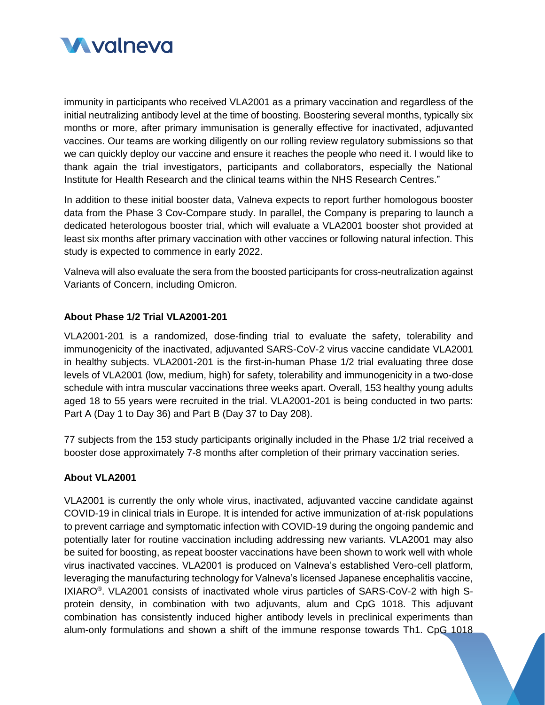

immunity in participants who received VLA2001 as a primary vaccination and regardless of the initial neutralizing antibody level at the time of boosting. Boostering several months, typically six months or more, after primary immunisation is generally effective for inactivated, adjuvanted vaccines. Our teams are working diligently on our rolling review regulatory submissions so that we can quickly deploy our vaccine and ensure it reaches the people who need it. I would like to thank again the trial investigators, participants and collaborators, especially the National Institute for Health Research and the clinical teams within the NHS Research Centres."

In addition to these initial booster data, Valneva expects to report further homologous booster data from the Phase 3 Cov-Compare study. In parallel, the Company is preparing to launch a dedicated heterologous booster trial, which will evaluate a VLA2001 booster shot provided at least six months after primary vaccination with other vaccines or following natural infection. This study is expected to commence in early 2022.

Valneva will also evaluate the sera from the boosted participants for cross-neutralization against Variants of Concern, including Omicron.

## **About Phase 1/2 Trial VLA2001-201**

VLA2001-201 is a randomized, dose-finding trial to evaluate the safety, tolerability and immunogenicity of the inactivated, adjuvanted SARS-CoV-2 virus vaccine candidate VLA2001 in healthy subjects. VLA2001-201 is the first-in-human Phase 1/2 trial evaluating three dose levels of VLA2001 (low, medium, high) for safety, tolerability and immunogenicity in a two-dose schedule with intra muscular vaccinations three weeks apart. Overall, 153 healthy young adults aged 18 to 55 years were recruited in the trial. VLA2001-201 is being conducted in two parts: Part A (Day 1 to Day 36) and Part B (Day 37 to Day 208).

77 subjects from the 153 study participants originally included in the Phase 1/2 trial received a booster dose approximately 7-8 months after completion of their primary vaccination series.

### **About VLA2001**

VLA2001 is currently the only whole virus, inactivated, adjuvanted vaccine candidate against COVID-19 in clinical trials in Europe. It is intended for active immunization of at-risk populations to prevent carriage and symptomatic infection with COVID-19 during the ongoing pandemic and potentially later for routine vaccination including addressing new variants. VLA2001 may also be suited for boosting, as repeat booster vaccinations have been shown to work well with whole virus inactivated vaccines. VLA2001 is produced on Valneva's established Vero-cell platform, leveraging the manufacturing technology for Valneva's licensed Japanese encephalitis vaccine, IXIARO<sup>®</sup>. VLA2001 consists of inactivated whole virus particles of SARS-CoV-2 with high Sprotein density, in combination with two adjuvants, alum and CpG 1018. This adjuvant combination has consistently induced higher antibody levels in preclinical experiments than alum-only formulations and shown a shift of the immune response towards Th1. CpG 1018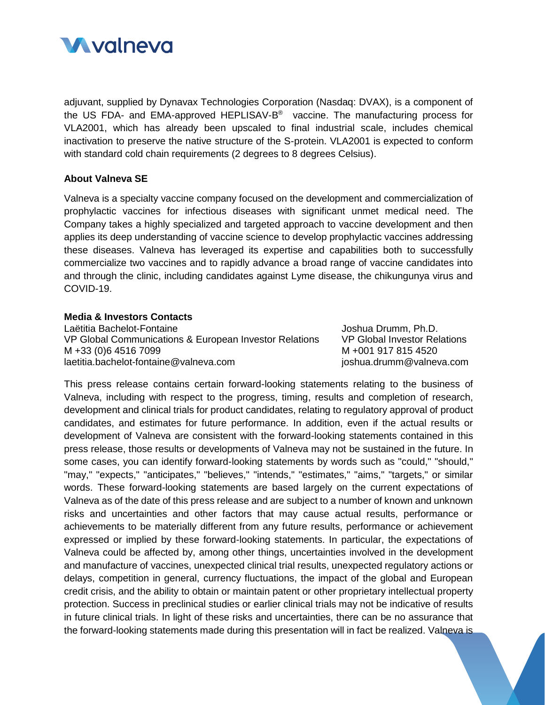

adjuvant, supplied by Dynavax Technologies Corporation (Nasdaq: DVAX), is a component of the US FDA- and EMA-approved HEPLISAV-B<sup>®</sup> vaccine. The manufacturing process for VLA2001, which has already been upscaled to final industrial scale, includes chemical inactivation to preserve the native structure of the S-protein. VLA2001 is expected to conform with standard cold chain requirements (2 degrees to 8 degrees Celsius).

#### **About Valneva SE**

Valneva is a specialty vaccine company focused on the development and commercialization of prophylactic vaccines for infectious diseases with significant unmet medical need. The Company takes a highly specialized and targeted approach to vaccine development and then applies its deep understanding of vaccine science to develop prophylactic vaccines addressing these diseases. Valneva has leveraged its expertise and capabilities both to successfully commercialize two vaccines and to rapidly advance a broad range of vaccine candidates into and through the clinic, including candidates against Lyme disease, the chikungunya virus and COVID-19.

#### **Media & Investors Contacts**

Laëtitia Bachelot-Fontaine VP Global Communications & European Investor Relations M +33 (0)6 4516 7099 laetitia.bachelot-fontaine@valneva.com

Joshua Drumm, Ph.D. VP Global Investor Relations M +001 917 815 4520 joshua.drumm@valneva.com

This press release contains certain forward-looking statements relating to the business of Valneva, including with respect to the progress, timing, results and completion of research, development and clinical trials for product candidates, relating to regulatory approval of product candidates, and estimates for future performance. In addition, even if the actual results or development of Valneva are consistent with the forward-looking statements contained in this press release, those results or developments of Valneva may not be sustained in the future. In some cases, you can identify forward-looking statements by words such as "could," "should," "may," "expects," "anticipates," "believes," "intends," "estimates," "aims," "targets," or similar words. These forward-looking statements are based largely on the current expectations of Valneva as of the date of this press release and are subject to a number of known and unknown risks and uncertainties and other factors that may cause actual results, performance or achievements to be materially different from any future results, performance or achievement expressed or implied by these forward-looking statements. In particular, the expectations of Valneva could be affected by, among other things, uncertainties involved in the development and manufacture of vaccines, unexpected clinical trial results, unexpected regulatory actions or delays, competition in general, currency fluctuations, the impact of the global and European credit crisis, and the ability to obtain or maintain patent or other proprietary intellectual property protection. Success in preclinical studies or earlier clinical trials may not be indicative of results in future clinical trials. In light of these risks and uncertainties, there can be no assurance that the forward-looking statements made during this presentation will in fact be realized. Valneva is